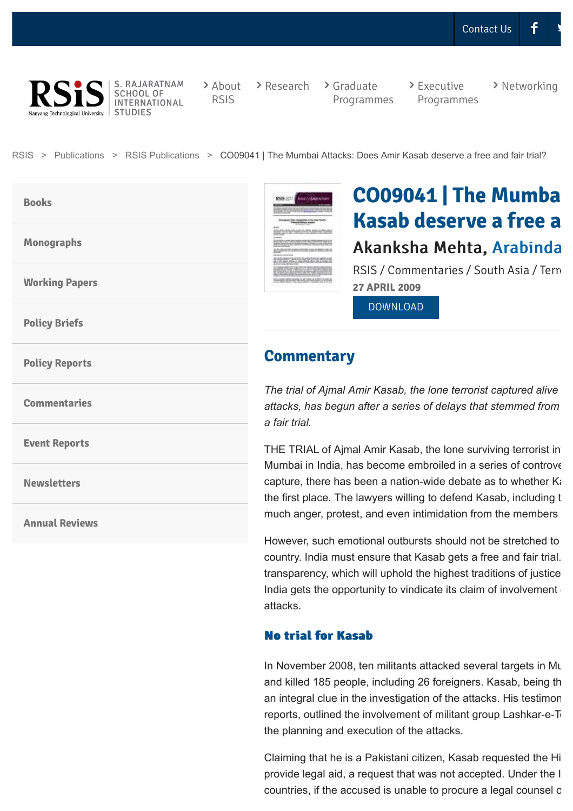

S. RAJARATNAM SCHOOL OF **INTERNATIONAL STUDIES** 

[About](http://www.rsis.edu.sg/about-rsis/) RSIS

 $\rightarrow$  [Research](http://www.rsis.edu.sg/research/)  $\rightarrow$  Graduate

[Programmes](http://www.rsis.edu.sg/gpo/)

 $\ge$  Executive [Programmes](http://www.rsis.edu.sg/executive-programmes/) > [Networking](http://www.rsis.edu.sg/networking/)

[RSIS](http://www.rsis.edu.sg/) > [Publications](http://www.rsis.edu.sg/publications/) > [RSIS Publications](http://www.rsis.edu.sg/publications/rsis-publications/) > CO09041 | The Mumbai Attacks: Does Amir Kasab deserve a free and fair trial?

**[Books](http://www.rsis.edu.sg/publications/rsis-publications/rsis-publications-books/)**

**[Monographs](http://www.rsis.edu.sg/publications/rsis-publications/rsis-publications-monographs/)**

**[Working Papers](http://www.rsis.edu.sg/publications/rsis-publications/rsis-publications-working-papers/)**

**[Policy Briefs](http://www.rsis.edu.sg/publications/rsis-publications/rsis-publications-policy-briefs/)**

**[Policy Reports](http://www.rsis.edu.sg/publications/rsis-publications/rsis-publications-policy-papers/)**

**[Commentaries](http://www.rsis.edu.sg/publications/rsis-publications/rsis-publications-commentaries/)**

**[Event Reports](http://www.rsis.edu.sg/publications/rsis-publications/rsis-publications-event-reports/)**

**[Newsletters](http://www.rsis.edu.sg/publications/rsis-publications/rsis-publications-newsletters/)**

**[Annual Reviews](http://www.rsis.edu.sg/publications/rsis-publications/rsis-publications-annual-reviews/)**

**CO09041 | The Mumba Kasab deserve a free a** Akanksha Mehta, [Arabinda](http://www.rsis.edu.sg/profile/arabinda-acharya/)

RSIS / Commentaries / South Asia / Terro **27 APRIL 2009**

[DOWNLOAD](http://www.rsis.edu.sg/wp-content/uploads/2014/07/CO09041.pdf)

## **Commentary**

*SANATE & MILLE* والمجتنبة

*The trial of Ajmal Amir Kasab, the lone terrorist captured alive attacks, has begun after a series of delays that stemmed from the continuing debate on Kasab's right to a fair trial.*

THE TRIAL of Ajmal Amir Kasab, the lone surviving terrorist in Mumbai in India, has become embroiled in a series of controve capture, there has been a nation-wide debate as to whether  $K_i$ the first place. The lawyers willing to defend Kasab, including the court, have faced by the court, have faced by the court, have faced by the court, have faced by the face faced by the faced by the faced by the faced by t much anger, protest, and even intimidation from the members

However, such emotional outbursts should not be stretched to country. India must ensure that Kasab gets a free and fair trial. transparency, which will uphold the highest traditions of justice India gets the opportunity to vindicate its claim of involvement attacks.

#### **No trial for Kasab No trial for Kasab**

In November 2008, ten militants attacked several targets in Mu and killed 185 people, including 26 foreigners. Kasab, being the an integral clue in the investigation of the attacks. His testimon reports, outlined the involvement of militant group Lashkar-e-Toiba (Let the planning and execution of the attacks.

Claiming that he is a Pakistani citizen, Kasab requested the High provide legal aid, a request that was not accepted. Under the I countries, if the accused is unable to procure a legal counsel on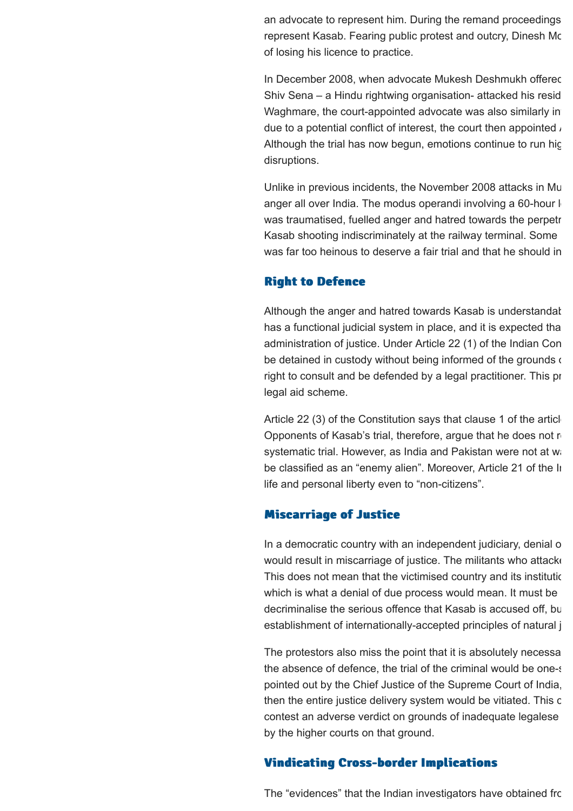an advocate to represent him. During the remand proceedings represent Kasab. Fearing public protest and outcry, Dinesh Mc of losing his licence to practice.

In December 2008, when advocate Mukesh Deshmukh offered Shiv Sena – a Hindu rightwing organisation- attacked his residence, forcing him to back out. And to back out. An Waghmare, the court-appointed advocate was also similarly in due to a potential conflict of interest, the court then appointed  $\lambda$ Although the trial has now begun, emotions continue to run highdisruptions.

Unlike in previous incidents, the November 2008 attacks in Mu anger all over India. The modus operandi involving a 60-hour long battle media was traumatised, fuelled anger and hatred towards the perpetr Kasab shooting indiscriminately at the railway terminal. Some was far too heinous to deserve a fair trial and that he should in

#### **Right to Defence Right to Defence**

Although the anger and hatred towards Kasab is understandat has a functional judicial system in place, and it is expected tha administration of justice. Under Article 22 (1) of the Indian Con be detained in custody without being informed of the grounds of right to consult and be defended by a legal practitioner. This pr legal aid scheme.

Article 22 (3) of the Constitution says that clause 1 of the article Opponents of Kasab's trial, therefore, argue that he does not negale 2 systematic trial. However, as India and Pakistan were not at war be classified as an "enemy alien". Moreover, Article 21 of the Indian Constitution guarantees the right to life and personal liberty even to "non-citizens".

#### **Miscarriage of Justice Miscarriage of Justice**

In a democratic country with an independent judiciary, denial of would result in miscarriage of justice. The militants who attacked This does not mean that the victimised country and its institutic which is what a denial of due process would mean. It must be decriminalise the serious offence that Kasab is accused off, but establishment of internationally-accepted principles of natural j

The protestors also miss the point that it is absolutely necessary the absence of defence, the trial of the criminal would be one-sided to a denial of the criminal would be onepointed out by the Chief Justice of the Supreme Court of India, then the entire justice delivery system would be vitiated. This c contest an adverse verdict on grounds of inadequate legalese by the higher courts on that ground.

### **Vindicating Cross-border Implications Vindicating Cross-border Implications**

The "evidences" that the Indian investigators have obtained from